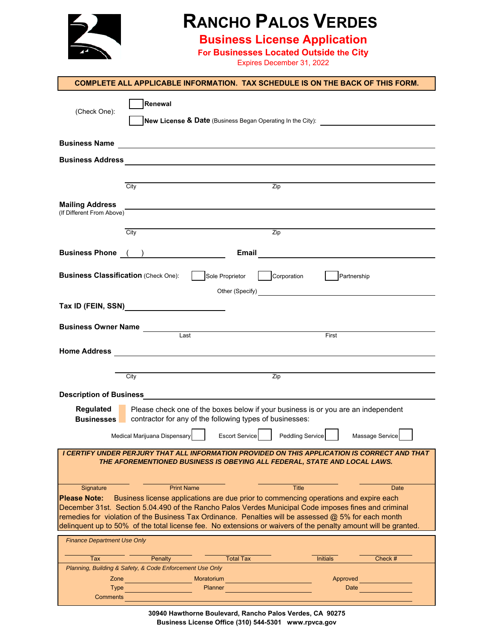

## **RANCHO PALOS VERDES**

**Business License Application**

**For Businesses Located Outside the City**

Expires December 31, 2022

|                                                     | <b>COMPLETE ALL APPLICABLE INFORMATION. TAX SCHEDULE IS ON THE BACK OF THIS FORM.</b>                                                                                                                                                |                                                                                                                                               |                            |                                                                         |
|-----------------------------------------------------|--------------------------------------------------------------------------------------------------------------------------------------------------------------------------------------------------------------------------------------|-----------------------------------------------------------------------------------------------------------------------------------------------|----------------------------|-------------------------------------------------------------------------|
| (Check One):                                        | Renewal                                                                                                                                                                                                                              |                                                                                                                                               |                            | New License & Date (Business Began Operating In the City): <u>[188]</u> |
|                                                     | Business Name <u>and the community of the community of the community of the community of the community of the community of the community of the community of the community of the community of the community of the community of</u> |                                                                                                                                               |                            |                                                                         |
|                                                     |                                                                                                                                                                                                                                      |                                                                                                                                               |                            |                                                                         |
|                                                     |                                                                                                                                                                                                                                      |                                                                                                                                               |                            |                                                                         |
|                                                     | City                                                                                                                                                                                                                                 | Zip                                                                                                                                           |                            |                                                                         |
| <b>Mailing Address</b><br>(If Different From Above) |                                                                                                                                                                                                                                      |                                                                                                                                               |                            |                                                                         |
|                                                     |                                                                                                                                                                                                                                      |                                                                                                                                               |                            |                                                                         |
|                                                     | City                                                                                                                                                                                                                                 | Zip                                                                                                                                           |                            |                                                                         |
|                                                     | <b>Business Phone (CD)</b>                                                                                                                                                                                                           |                                                                                                                                               |                            |                                                                         |
| <b>Business Classification (Check One):</b>         |                                                                                                                                                                                                                                      | Sole Proprietor                                                                                                                               | Corporation<br>Partnership |                                                                         |
|                                                     |                                                                                                                                                                                                                                      |                                                                                                                                               |                            |                                                                         |
|                                                     | Tax ID (FEIN, SSN) Note that the state of the state of the state of the state of the state of the state of the                                                                                                                       |                                                                                                                                               |                            |                                                                         |
|                                                     |                                                                                                                                                                                                                                      |                                                                                                                                               |                            |                                                                         |
|                                                     | <b>Business Owner Name</b><br>Last                                                                                                                                                                                                   |                                                                                                                                               | First                      |                                                                         |
|                                                     |                                                                                                                                                                                                                                      |                                                                                                                                               |                            |                                                                         |
|                                                     | City                                                                                                                                                                                                                                 | Zip                                                                                                                                           |                            |                                                                         |
|                                                     |                                                                                                                                                                                                                                      |                                                                                                                                               |                            |                                                                         |
| <b>Description of Business</b><br>Regulated         |                                                                                                                                                                                                                                      |                                                                                                                                               |                            |                                                                         |
| <b>Businesses</b>                                   |                                                                                                                                                                                                                                      | Please check one of the boxes below if your business is or you are an independent<br>contractor for any of the following types of businesses: |                            |                                                                         |
|                                                     | Medical Mariiuana Dispensary                                                                                                                                                                                                         | <b>Escort Service</b>                                                                                                                         | <b>Peddling Service</b>    | Massage Service                                                         |
|                                                     | I CERTIFY UNDER PERJURY THAT ALL INFORMATION PROVIDED ON THIS APPLICATION IS CORRECT AND THAT                                                                                                                                        |                                                                                                                                               |                            |                                                                         |
|                                                     | THE AFOREMENTIONED BUSINESS IS OBEYING ALL FEDERAL, STATE AND LOCAL LAWS.                                                                                                                                                            |                                                                                                                                               |                            |                                                                         |
| Signature                                           | <b>Print Name</b>                                                                                                                                                                                                                    |                                                                                                                                               | <b>Title</b>               | <b>Date</b>                                                             |
| <b>Please Note:</b>                                 | Business license applications are due prior to commencing operations and expire each<br>December 31st. Section 5.04.490 of the Rancho Palos Verdes Municipal Code imposes fines and criminal                                         |                                                                                                                                               |                            |                                                                         |
|                                                     | remedies for violation of the Business Tax Ordinance. Penalties will be assessed @ 5% for each month                                                                                                                                 |                                                                                                                                               |                            |                                                                         |
|                                                     | delinquent up to 50% of the total license fee. No extensions or waivers of the penalty amount will be granted.                                                                                                                       |                                                                                                                                               |                            |                                                                         |
| <b>Finance Department Use Only</b>                  |                                                                                                                                                                                                                                      |                                                                                                                                               |                            |                                                                         |
| Tax                                                 | Penalty                                                                                                                                                                                                                              | <b>Total Tax</b>                                                                                                                              | <b>Initials</b>            | Check #                                                                 |
| Zone                                                | Planning, Building & Safety, & Code Enforcement Use Only                                                                                                                                                                             | Moratorium                                                                                                                                    | Approved                   |                                                                         |
| <b>Type</b>                                         | <u> 1989 - Johann Barnett, fransk politiker</u>                                                                                                                                                                                      | Planner                                                                                                                                       |                            | Date                                                                    |
| Comments                                            |                                                                                                                                                                                                                                      |                                                                                                                                               |                            |                                                                         |